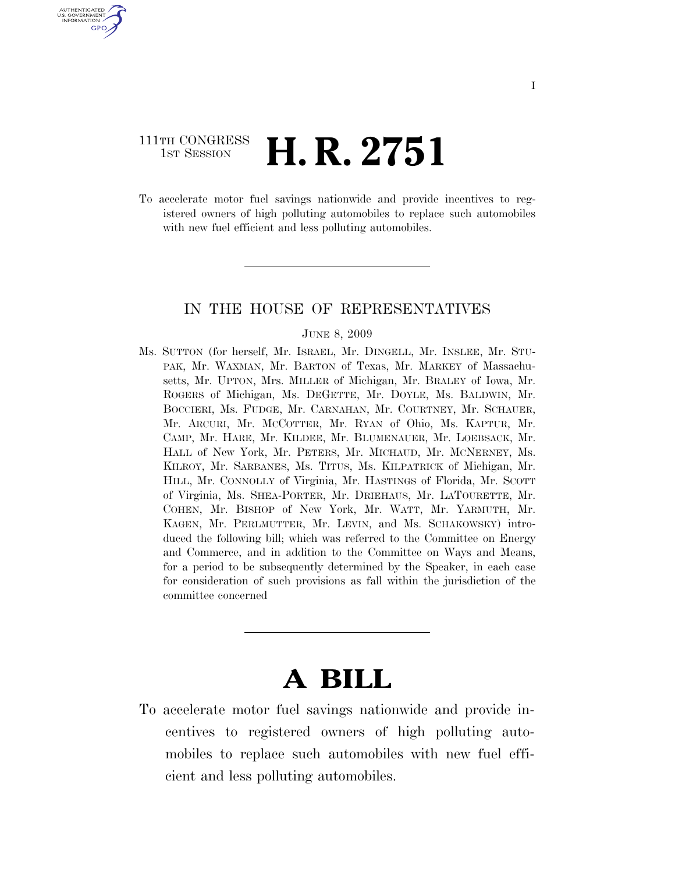## 111TH CONGRESS <sup>TH CONGRESS</sup> **H. R. 2751**

U.S. GOVERNMENT GPO

> To accelerate motor fuel savings nationwide and provide incentives to registered owners of high polluting automobiles to replace such automobiles with new fuel efficient and less polluting automobiles.

## IN THE HOUSE OF REPRESENTATIVES

#### JUNE 8, 2009

Ms. SUTTON (for herself, Mr. ISRAEL, Mr. DINGELL, Mr. INSLEE, Mr. STU-PAK, Mr. WAXMAN, Mr. BARTON of Texas, Mr. MARKEY of Massachusetts, Mr. UPTON, Mrs. MILLER of Michigan, Mr. BRALEY of Iowa, Mr. ROGERS of Michigan, Ms. DEGETTE, Mr. DOYLE, Ms. BALDWIN, Mr. BOCCIERI, Ms. FUDGE, Mr. CARNAHAN, Mr. COURTNEY, Mr. SCHAUER, Mr. ARCURI, Mr. MCCOTTER, Mr. RYAN of Ohio, Ms. KAPTUR, Mr. CAMP, Mr. HARE, Mr. KILDEE, Mr. BLUMENAUER, Mr. LOEBSACK, Mr. HALL of New York, Mr. PETERS, Mr. MICHAUD, Mr. MCNERNEY, Ms. KILROY, Mr. SARBANES, Ms. TITUS, Ms. KILPATRICK of Michigan, Mr. HILL, Mr. CONNOLLY of Virginia, Mr. HASTINGS of Florida, Mr. SCOTT of Virginia, Ms. SHEA-PORTER, Mr. DRIEHAUS, Mr. LATOURETTE, Mr. COHEN, Mr. BISHOP of New York, Mr. WATT, Mr. YARMUTH, Mr. KAGEN, Mr. PERLMUTTER, Mr. LEVIN, and Ms. SCHAKOWSKY) introduced the following bill; which was referred to the Committee on Energy and Commerce, and in addition to the Committee on Ways and Means, for a period to be subsequently determined by the Speaker, in each case for consideration of such provisions as fall within the jurisdiction of the committee concerned

# **A BILL**

To accelerate motor fuel savings nationwide and provide incentives to registered owners of high polluting automobiles to replace such automobiles with new fuel efficient and less polluting automobiles.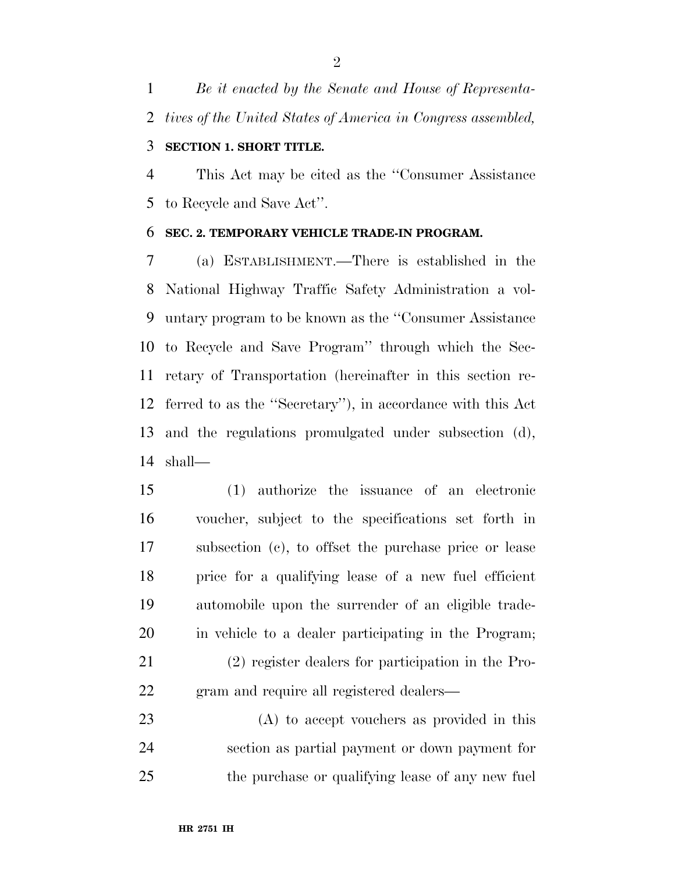*Be it enacted by the Senate and House of Representa-tives of the United States of America in Congress assembled,* 

## **SECTION 1. SHORT TITLE.**

 This Act may be cited as the ''Consumer Assistance to Recycle and Save Act''.

### **SEC. 2. TEMPORARY VEHICLE TRADE-IN PROGRAM.**

 (a) ESTABLISHMENT.—There is established in the National Highway Traffic Safety Administration a vol- untary program to be known as the ''Consumer Assistance to Recycle and Save Program'' through which the Sec- retary of Transportation (hereinafter in this section re- ferred to as the ''Secretary''), in accordance with this Act and the regulations promulgated under subsection (d), shall—

 (1) authorize the issuance of an electronic voucher, subject to the specifications set forth in subsection (c), to offset the purchase price or lease price for a qualifying lease of a new fuel efficient automobile upon the surrender of an eligible trade- in vehicle to a dealer participating in the Program; (2) register dealers for participation in the Pro-gram and require all registered dealers—

 (A) to accept vouchers as provided in this section as partial payment or down payment for the purchase or qualifying lease of any new fuel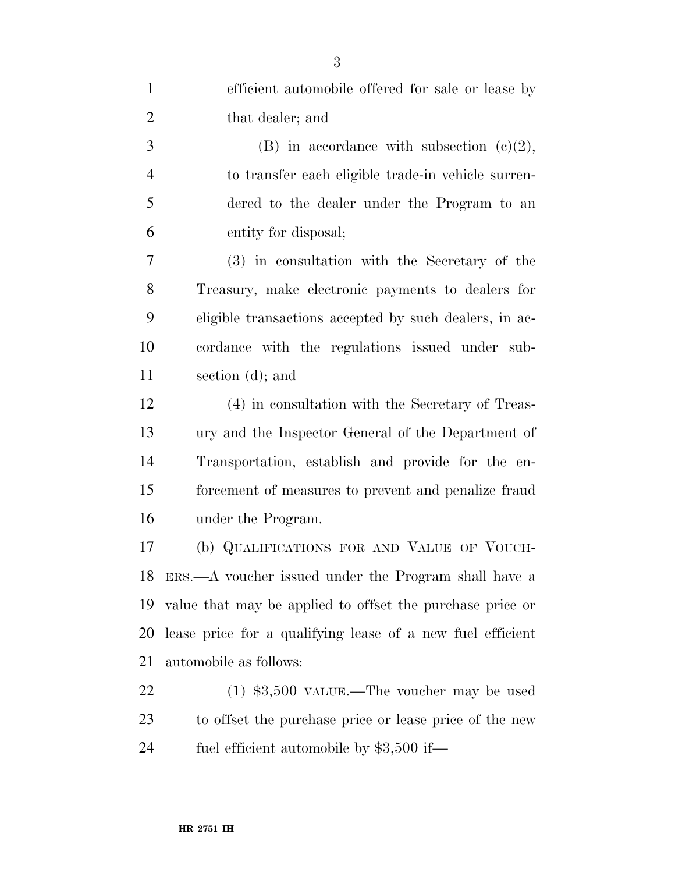| $\mathbf{1}$   | efficient automobile offered for sale or lease by          |
|----------------|------------------------------------------------------------|
| $\overline{2}$ | that dealer; and                                           |
| 3              | (B) in accordance with subsection $(c)(2)$ ,               |
| $\overline{4}$ | to transfer each eligible trade-in vehicle surren-         |
| 5              | dered to the dealer under the Program to an                |
| 6              | entity for disposal;                                       |
| 7              | (3) in consultation with the Secretary of the              |
| 8              | Treasury, make electronic payments to dealers for          |
| 9              | eligible transactions accepted by such dealers, in ac-     |
| 10             | cordance with the regulations issued under sub-            |
| 11             | section (d); and                                           |
| 12             | (4) in consultation with the Secretary of Treas-           |
| 13             | ury and the Inspector General of the Department of         |
| 14             | Transportation, establish and provide for the en-          |
| 15             | forcement of measures to prevent and penalize fraud        |
| 16             | under the Program.                                         |
| 17             | (b) QUALIFICATIONS FOR AND VALUE OF VOUCH-                 |
| 18             | ERS.—A voucher issued under the Program shall have a       |
| 19             | value that may be applied to offset the purchase price or  |
| 20             | lease price for a qualifying lease of a new fuel efficient |
| 21             | automobile as follows:                                     |
| 22             | $(1)$ \$3,500 VALUE.—The voucher may be used               |
| 23             | to offset the purchase price or lease price of the new     |
| 24             | fuel efficient automobile by $$3,500$ if—                  |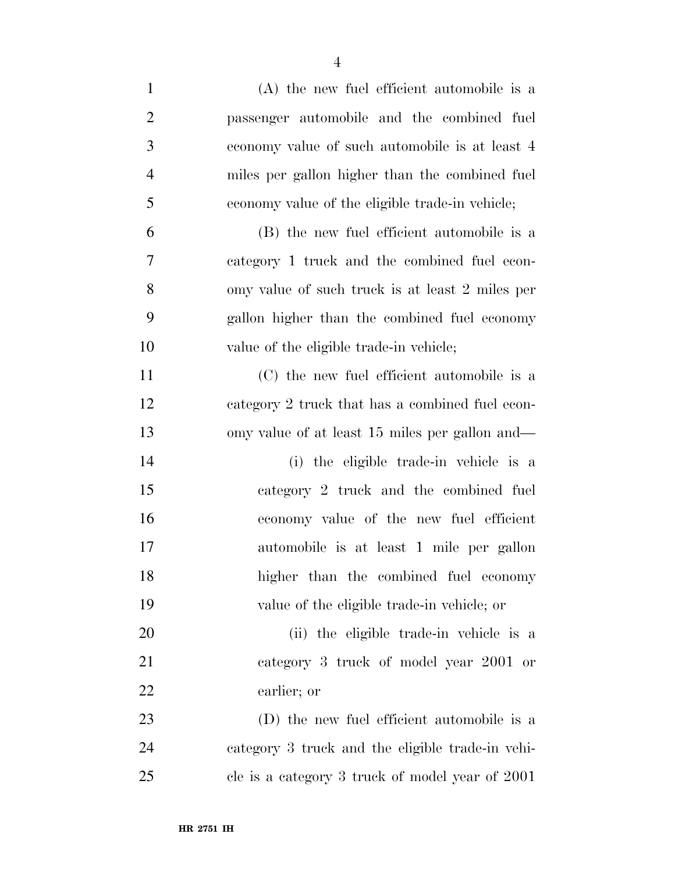- (A) the new fuel efficient automobile is a passenger automobile and the combined fuel economy value of such automobile is at least 4 miles per gallon higher than the combined fuel economy value of the eligible trade-in vehicle; (B) the new fuel efficient automobile is a category 1 truck and the combined fuel econ- omy value of such truck is at least 2 miles per gallon higher than the combined fuel economy value of the eligible trade-in vehicle; (C) the new fuel efficient automobile is a category 2 truck that has a combined fuel econ- omy value of at least 15 miles per gallon and— (i) the eligible trade-in vehicle is a category 2 truck and the combined fuel economy value of the new fuel efficient automobile is at least 1 mile per gallon higher than the combined fuel economy value of the eligible trade-in vehicle; or (ii) the eligible trade-in vehicle is a category 3 truck of model year 2001 or earlier; or (D) the new fuel efficient automobile is a category 3 truck and the eligible trade-in vehi-
- cle is a category 3 truck of model year of 2001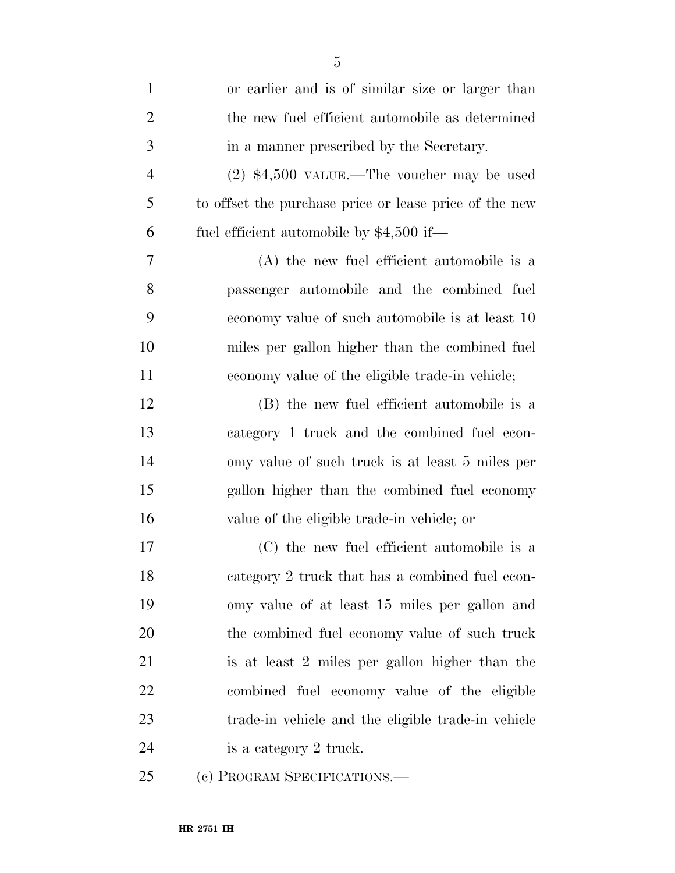| $\mathbf{1}$   | or earlier and is of similar size or larger than       |
|----------------|--------------------------------------------------------|
| $\overline{2}$ | the new fuel efficient automobile as determined        |
| 3              | in a manner prescribed by the Secretary.               |
| $\overline{4}$ | $(2)$ \$4,500 VALUE.—The voucher may be used           |
| 5              | to offset the purchase price or lease price of the new |
| 6              | fuel efficient automobile by $$4,500$ if—              |
| 7              | (A) the new fuel efficient automobile is a             |
| 8              | passenger automobile and the combined fuel             |
| 9              | economy value of such automobile is at least 10        |
| 10             | miles per gallon higher than the combined fuel         |
| 11             | economy value of the eligible trade-in vehicle;        |
| 12             | (B) the new fuel efficient automobile is a             |
| 13             | category 1 truck and the combined fuel econ-           |
| 14             | omy value of such truck is at least 5 miles per        |
| 15             | gallon higher than the combined fuel economy           |
| 16             | value of the eligible trade-in vehicle; or             |
| 17             | (C) the new fuel efficient automobile is a             |
| 18             | category 2 truck that has a combined fuel econ-        |
| 19             | omy value of at least 15 miles per gallon and          |
| 20             | the combined fuel economy value of such truck          |
| 21             | is at least 2 miles per gallon higher than the         |
| 22             | combined fuel economy value of the eligible            |
| 23             | trade-in vehicle and the eligible trade-in vehicle     |
| 24             | is a category 2 truck.                                 |
| 25             | (c) PROGRAM SPECIFICATIONS.—                           |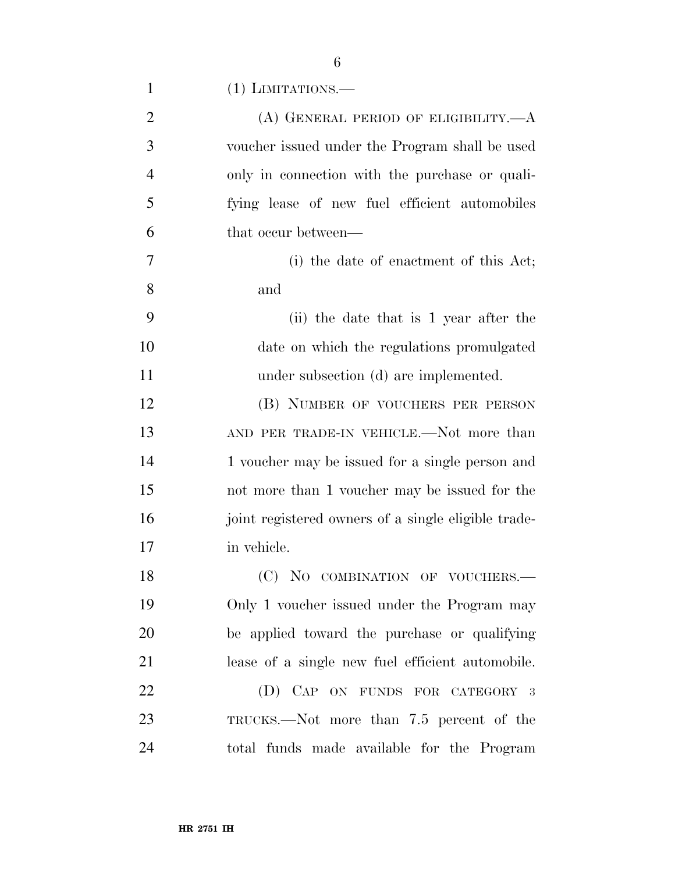| $\mathbf{1}$   | $(1)$ LIMITATIONS.—                                 |
|----------------|-----------------------------------------------------|
| $\overline{2}$ | $(A)$ GENERAL PERIOD OF ELIGIBILITY.— $A$           |
| 3              | voucher issued under the Program shall be used      |
| 4              | only in connection with the purchase or quali-      |
| 5              | fying lease of new fuel efficient automobiles       |
| 6              | that occur between—                                 |
| 7              | (i) the date of enactment of this Act;              |
| 8              | and                                                 |
| 9              | (ii) the date that is 1 year after the              |
| 10             | date on which the regulations promulgated           |
| 11             | under subsection (d) are implemented.               |
| 12             | (B) NUMBER OF VOUCHERS PER PERSON                   |
| 13             | AND PER TRADE-IN VEHICLE.—Not more than             |
| 14             | 1 voucher may be issued for a single person and     |
| 15             | not more than 1 voucher may be issued for the       |
| 16             | joint registered owners of a single eligible trade- |
| 17             | in vehicle.                                         |
| 18             | (C) NO COMBINATION OF VOUCHERS.-                    |
| 19             | Only 1 voucher issued under the Program may         |
| 20             | be applied toward the purchase or qualifying        |
| 21             | lease of a single new fuel efficient automobile.    |
| 22             | (D) CAP ON FUNDS FOR CATEGORY 3                     |
| 23             | TRUCKS.—Not more than 7.5 percent of the            |
| 24             | total funds made available for the Program          |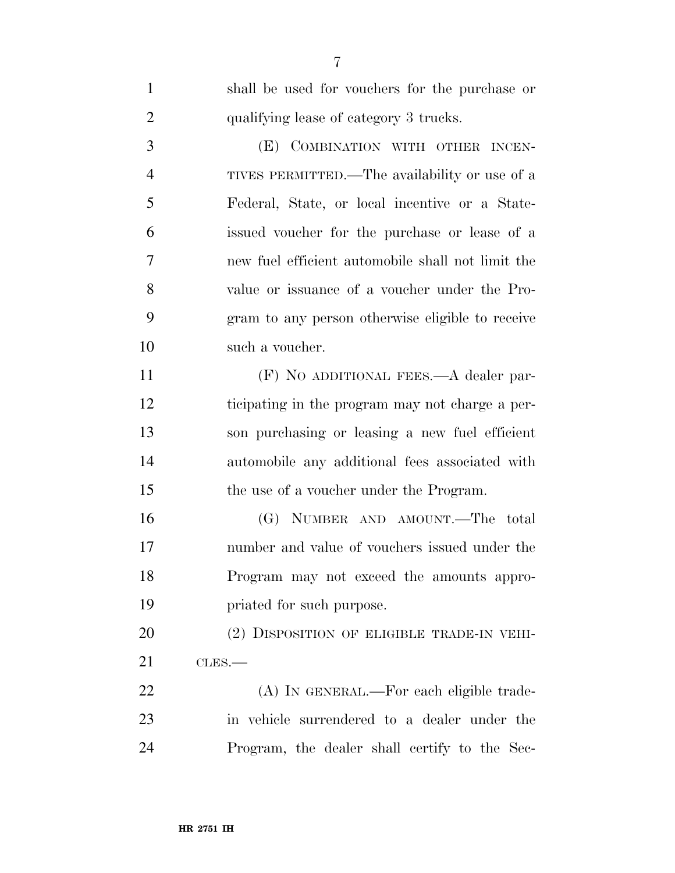| $\mathbf{1}$   | shall be used for vouchers for the purchase or    |
|----------------|---------------------------------------------------|
| $\overline{2}$ | qualifying lease of category 3 trucks.            |
| 3              | (E) COMBINATION WITH OTHER INCEN-                 |
| $\overline{4}$ | TIVES PERMITTED.—The availability or use of a     |
| 5              | Federal, State, or local incentive or a State-    |
| 6              | issued voucher for the purchase or lease of a     |
| 7              | new fuel efficient automobile shall not limit the |
| 8              | value or issuance of a voucher under the Pro-     |
| 9              | gram to any person otherwise eligible to receive  |
| 10             | such a voucher.                                   |
| 11             | $(F)$ NO ADDITIONAL FEES.— $A$ dealer par-        |
| 12             | ticipating in the program may not charge a per-   |
| 13             | son purchasing or leasing a new fuel efficient    |
| 14             | automobile any additional fees associated with    |
| 15             | the use of a voucher under the Program.           |
| 16             | (G) NUMBER AND AMOUNT.—The total                  |
| 17             | number and value of vouchers issued under the     |
| 18             | Program may not exceed the amounts appro-         |
| 19             | priated for such purpose.                         |
| 20             | (2) DISPOSITION OF ELIGIBLE TRADE-IN VEHI-        |
| 21             | CLES.                                             |
| 22             | (A) IN GENERAL.—For each eligible trade-          |
| 23             | in vehicle surrendered to a dealer under the      |
| 24             | Program, the dealer shall certify to the Sec-     |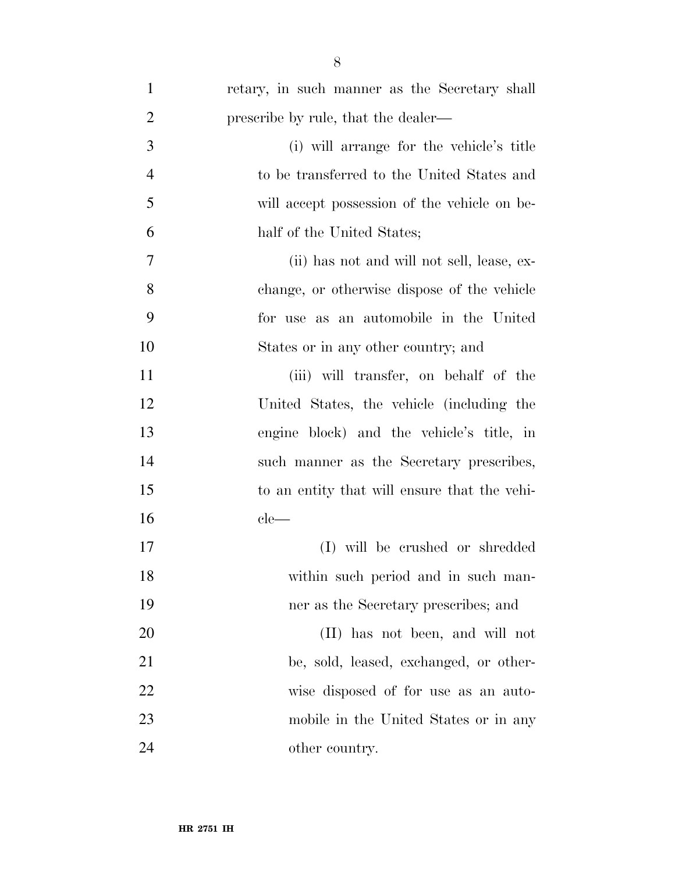| $\mathbf{1}$   | retary, in such manner as the Secretary shall |
|----------------|-----------------------------------------------|
| $\overline{2}$ | prescribe by rule, that the dealer—           |
| 3              | (i) will arrange for the vehicle's title      |
| $\overline{4}$ | to be transferred to the United States and    |
| 5              | will accept possession of the vehicle on be-  |
| 6              | half of the United States;                    |
| $\overline{7}$ | (ii) has not and will not sell, lease, ex-    |
| 8              | change, or otherwise dispose of the vehicle   |
| 9              | for use as an automobile in the United        |
| 10             | States or in any other country; and           |
| 11             | (iii) will transfer, on behalf of the         |
| 12             | United States, the vehicle (including the     |
| 13             | engine block) and the vehicle's title, in     |
| 14             | such manner as the Secretary prescribes,      |
| 15             | to an entity that will ensure that the vehi-  |
| 16             | $ele-$                                        |
| 17             | (I) will be crushed or shredded               |
| 18             | within such period and in such man-           |
| 19             | ner as the Secretary prescribes; and          |
| 20             | (II) has not been, and will not               |
| 21             | be, sold, leased, exchanged, or other-        |
| 22             | wise disposed of for use as an auto-          |
| 23             | mobile in the United States or in any         |
| 24             | other country.                                |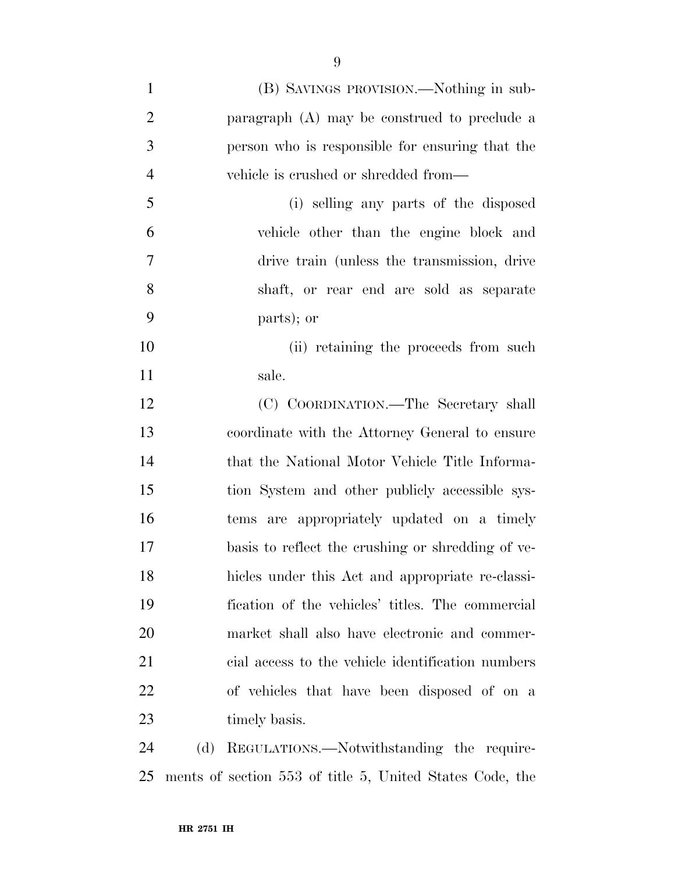(B) SAVINGS PROVISION.—Nothing in sub- paragraph (A) may be construed to preclude a person who is responsible for ensuring that the vehicle is crushed or shredded from— (i) selling any parts of the disposed vehicle other than the engine block and drive train (unless the transmission, drive shaft, or rear end are sold as separate parts); or 10 (ii) retaining the proceeds from such sale. (C) COORDINATION.—The Secretary shall coordinate with the Attorney General to ensure that the National Motor Vehicle Title Informa- tion System and other publicly accessible sys- tems are appropriately updated on a timely basis to reflect the crushing or shredding of ve- hicles under this Act and appropriate re-classi- fication of the vehicles' titles. The commercial market shall also have electronic and commer- cial access to the vehicle identification numbers of vehicles that have been disposed of on a 23 timely basis.

 (d) REGULATIONS.—Notwithstanding the require-ments of section 553 of title 5, United States Code, the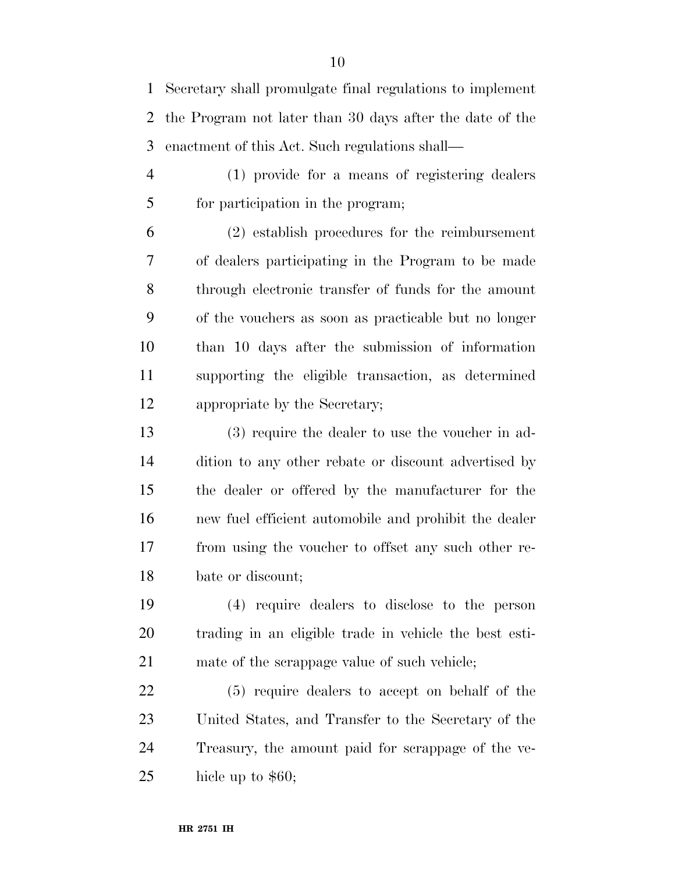Secretary shall promulgate final regulations to implement the Program not later than 30 days after the date of the enactment of this Act. Such regulations shall—

 (1) provide for a means of registering dealers for participation in the program;

 (2) establish procedures for the reimbursement of dealers participating in the Program to be made through electronic transfer of funds for the amount of the vouchers as soon as practicable but no longer than 10 days after the submission of information supporting the eligible transaction, as determined appropriate by the Secretary;

 (3) require the dealer to use the voucher in ad- dition to any other rebate or discount advertised by the dealer or offered by the manufacturer for the new fuel efficient automobile and prohibit the dealer from using the voucher to offset any such other re-bate or discount;

 (4) require dealers to disclose to the person trading in an eligible trade in vehicle the best esti-21 mate of the scrappage value of such vehicle;

 (5) require dealers to accept on behalf of the United States, and Transfer to the Secretary of the Treasury, the amount paid for scrappage of the ve-hicle up to \$60;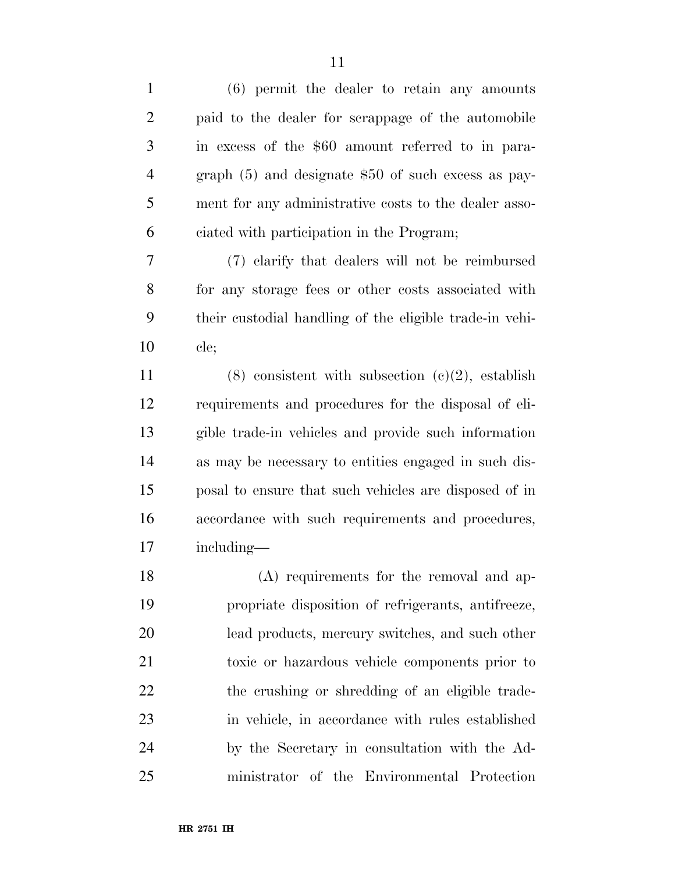| $\mathbf{1}$   | $(6)$ permit the dealer to retain any amounts           |
|----------------|---------------------------------------------------------|
| $\overline{2}$ | paid to the dealer for scrappage of the automobile      |
| 3              | in excess of the \$60 amount referred to in para-       |
| $\overline{4}$ | graph $(5)$ and designate \$50 of such excess as pay-   |
| 5              | ment for any administrative costs to the dealer asso-   |
| 6              | ciated with participation in the Program;               |
| 7              | (7) elarify that dealers will not be reimbursed         |
| 8              | for any storage fees or other costs associated with     |
| 9              | their custodial handling of the eligible trade-in vehi- |
| 10             | cle;                                                    |
| 11             | $(8)$ consistent with subsection $(c)(2)$ , establish   |
| 12             | requirements and procedures for the disposal of eli-    |
| 13             | gible trade-in vehicles and provide such information    |
| 14             | as may be necessary to entities engaged in such dis-    |
| 15             | posal to ensure that such vehicles are disposed of in   |
| 16             | accordance with such requirements and procedures,       |
| 17             | including—                                              |
| 18             | (A) requirements for the removal and ap-                |
| 19             | propriate disposition of refrigerants, antifreeze,      |
| 20             | lead products, mercury switches, and such other         |
| 21             | toxic or hazardous vehicle components prior to          |
| 22             | the crushing or shredding of an eligible trade-         |
| 23             | in vehicle, in accordance with rules established        |
| 24             | by the Secretary in consultation with the Ad-           |
| 25             | ministrator of the Environmental Protection             |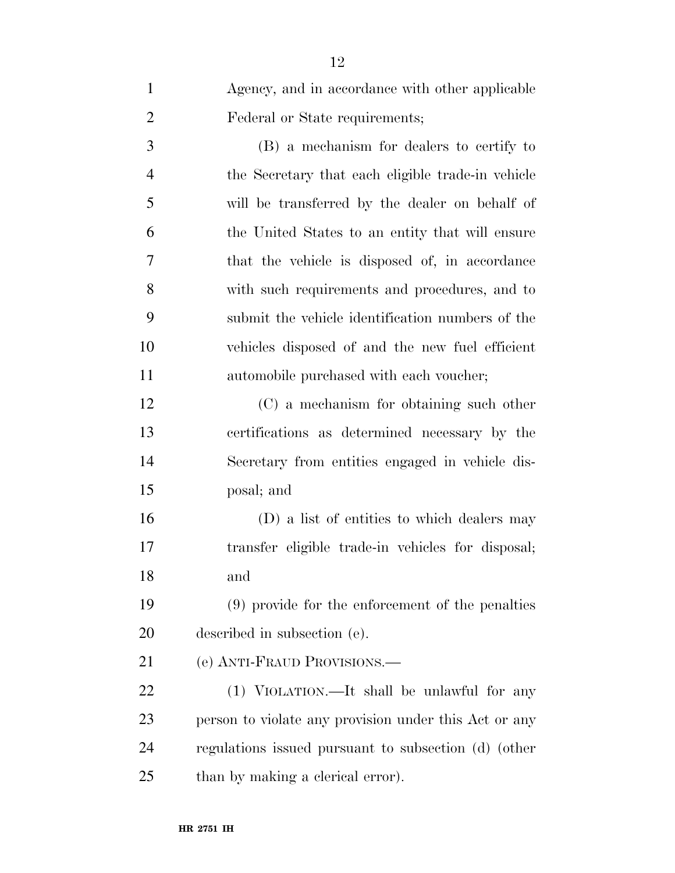| $\mathbf{1}$   | Agency, and in accordance with other applicable       |
|----------------|-------------------------------------------------------|
| $\overline{2}$ | Federal or State requirements;                        |
| 3              | (B) a mechanism for dealers to certify to             |
| $\overline{4}$ | the Secretary that each eligible trade-in vehicle     |
| 5              | will be transferred by the dealer on behalf of        |
| 6              | the United States to an entity that will ensure       |
| 7              | that the vehicle is disposed of, in accordance        |
| 8              | with such requirements and procedures, and to         |
| 9              | submit the vehicle identification numbers of the      |
| 10             | vehicles disposed of and the new fuel efficient       |
| 11             | automobile purchased with each voucher;               |
| 12             | (C) a mechanism for obtaining such other              |
| 13             | certifications as determined necessary by the         |
| 14             | Secretary from entities engaged in vehicle dis-       |
| 15             | posal; and                                            |
| 16             | (D) a list of entities to which dealers may           |
| 17             | transfer eligible trade-in vehicles for disposal;     |
| 18             | and                                                   |
| 19             | (9) provide for the enforcement of the penalties      |
| 20             | described in subsection (e).                          |
| 21             | (e) ANTI-FRAUD PROVISIONS.                            |
| 22             | (1) VIOLATION.—It shall be unlawful for any           |
| 23             | person to violate any provision under this Act or any |
| 24             | regulations issued pursuant to subsection (d) (other  |
| 25             | than by making a clerical error).                     |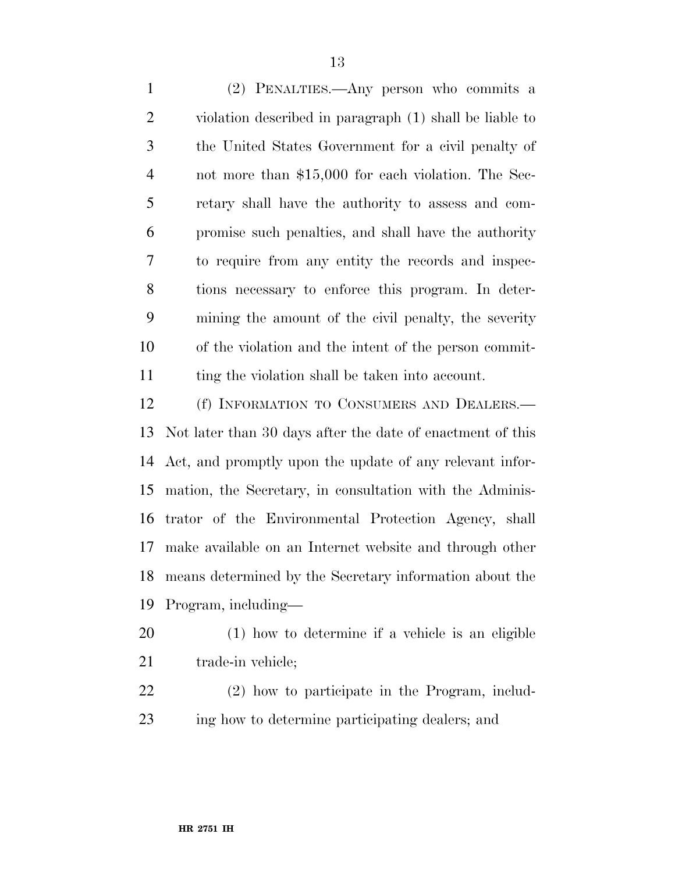(2) PENALTIES.—Any person who commits a violation described in paragraph (1) shall be liable to the United States Government for a civil penalty of not more than \$15,000 for each violation. The Sec- retary shall have the authority to assess and com- promise such penalties, and shall have the authority to require from any entity the records and inspec- tions necessary to enforce this program. In deter- mining the amount of the civil penalty, the severity of the violation and the intent of the person commit-11 ting the violation shall be taken into account.

 (f) INFORMATION TO CONSUMERS AND DEALERS.— Not later than 30 days after the date of enactment of this Act, and promptly upon the update of any relevant infor- mation, the Secretary, in consultation with the Adminis- trator of the Environmental Protection Agency, shall make available on an Internet website and through other means determined by the Secretary information about the Program, including—

- (1) how to determine if a vehicle is an eligible 21 trade-in vehicle;
- (2) how to participate in the Program, includ-ing how to determine participating dealers; and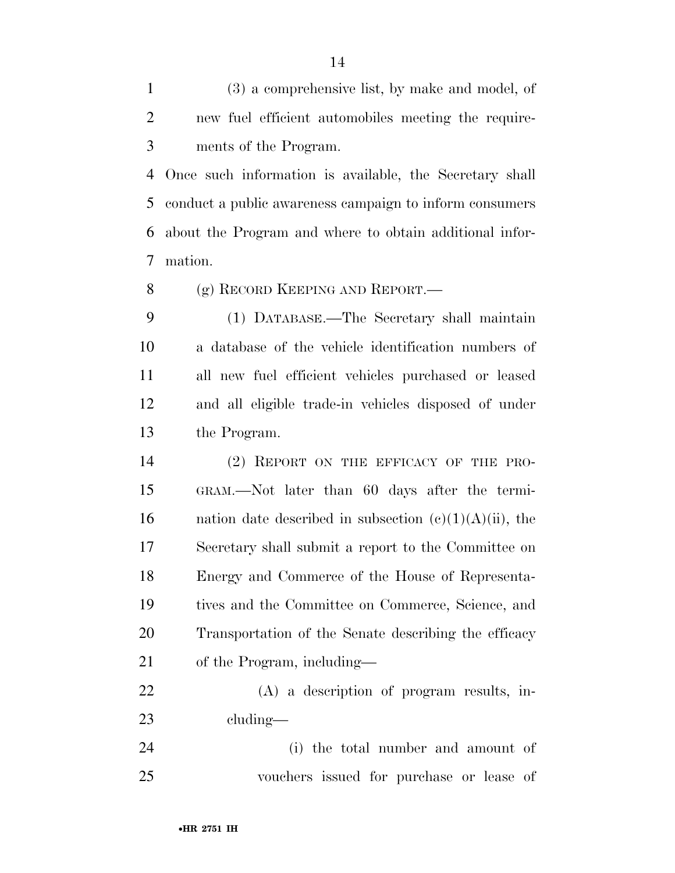(3) a comprehensive list, by make and model, of new fuel efficient automobiles meeting the require-ments of the Program.

 Once such information is available, the Secretary shall conduct a public awareness campaign to inform consumers about the Program and where to obtain additional infor-mation.

8 (g) RECORD KEEPING AND REPORT.—

 (1) DATABASE.—The Secretary shall maintain a database of the vehicle identification numbers of all new fuel efficient vehicles purchased or leased and all eligible trade-in vehicles disposed of under the Program.

 (2) REPORT ON THE EFFICACY OF THE PRO- GRAM.—Not later than 60 days after the termi-16 nation date described in subsection  $(c)(1)(A)(ii)$ , the Secretary shall submit a report to the Committee on Energy and Commerce of the House of Representa- tives and the Committee on Commerce, Science, and Transportation of the Senate describing the efficacy of the Program, including—

 (A) a description of program results, in-cluding—

 (i) the total number and amount of vouchers issued for purchase or lease of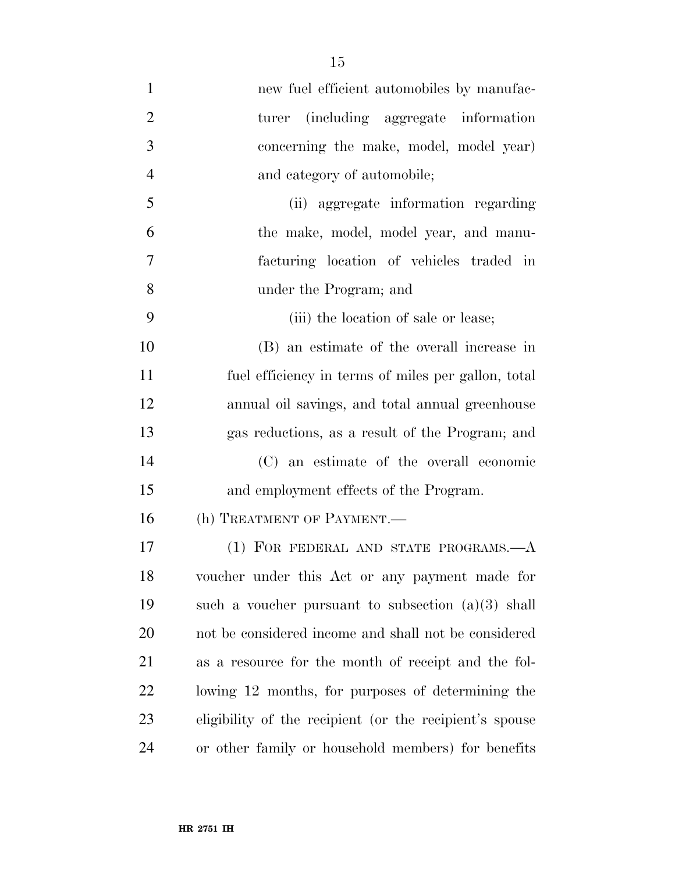| $\mathbf{1}$   | new fuel efficient automobiles by manufac-              |
|----------------|---------------------------------------------------------|
| $\overline{2}$ | (including aggregate information)<br>turer              |
| 3              | concerning the make, model, model year)                 |
| $\overline{4}$ | and category of automobile;                             |
| 5              | (ii) aggregate information regarding                    |
| 6              | the make, model, model year, and manu-                  |
| 7              | facturing location of vehicles traded in                |
| 8              | under the Program; and                                  |
| 9              | (iii) the location of sale or lease;                    |
| 10             | (B) an estimate of the overall increase in              |
| 11             | fuel efficiency in terms of miles per gallon, total     |
| 12             | annual oil savings, and total annual greenhouse         |
| 13             | gas reductions, as a result of the Program; and         |
| 14             | (C) an estimate of the overall economic                 |
| 15             | and employment effects of the Program.                  |
| 16             | (h) TREATMENT OF PAYMENT.                               |
| 17             | (1) FOR FEDERAL AND STATE PROGRAMS.- A                  |
| 18             | voucher under this Act or any payment made for          |
| 19             | such a voucher pursuant to subsection $(a)(3)$ shall    |
| 20             | not be considered income and shall not be considered    |
| 21             | as a resource for the month of receipt and the fol-     |
| 22             | lowing 12 months, for purposes of determining the       |
| 23             | eligibility of the recipient (or the recipient's spouse |
| 24             | or other family or household members) for benefits      |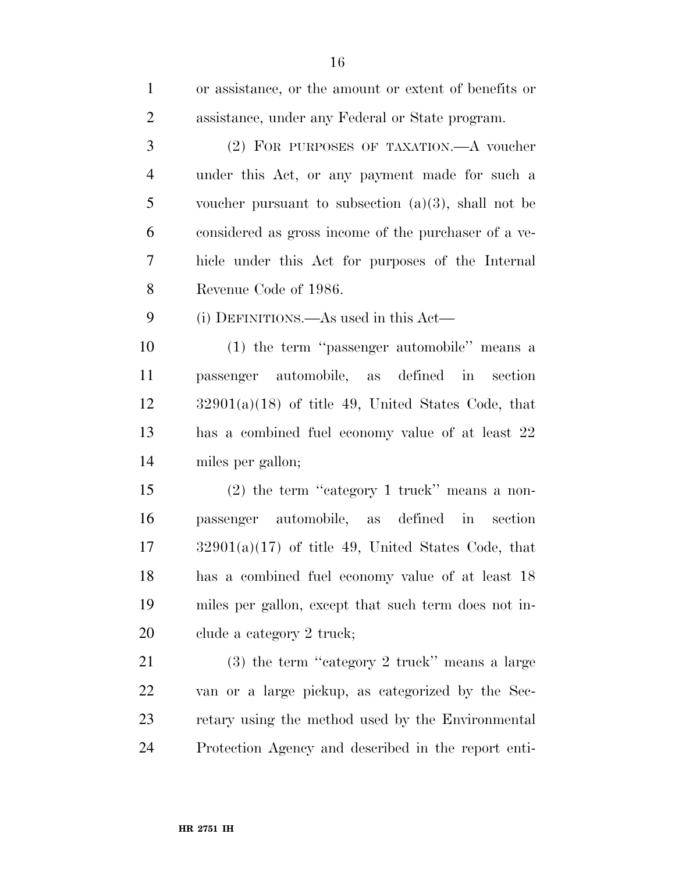| $\mathbf{1}$   | or assistance, or the amount or extent of benefits or  |
|----------------|--------------------------------------------------------|
| $\overline{2}$ | assistance, under any Federal or State program.        |
| 3              | (2) FOR PURPOSES OF TAXATION.—A voucher                |
| 4              | under this Act, or any payment made for such a         |
| 5              | voucher pursuant to subsection $(a)(3)$ , shall not be |
| 6              | considered as gross income of the purchaser of a ve-   |
| 7              | hicle under this Act for purposes of the Internal      |
| 8              | Revenue Code of 1986.                                  |
| 9              | (i) DEFINITIONS.—As used in this Act—                  |
| 10             | (1) the term "passenger automobile" means a            |
| 11             | passenger automobile, as defined in section            |
| 12             | $32901(a)(18)$ of title 49, United States Code, that   |
| 13             | has a combined fuel economy value of at least 22       |
| 14             | miles per gallon;                                      |
| 15             | $(2)$ the term "category 1 truck" means a non-         |
| 16             | passenger automobile, as defined in section            |
| 17             | $32901(a)(17)$ of title 49, United States Code, that   |
| 18             | has a combined fuel economy value of at least 18       |
| 19             | miles per gallon, except that such term does not in-   |
| <b>20</b>      | clude a category 2 truck;                              |
| 21             | $(3)$ the term "category 2 truck" means a large        |
| 22             | van or a large pickup, as categorized by the Sec-      |
| 23             | retary using the method used by the Environmental      |
| 24             | Protection Agency and described in the report enti-    |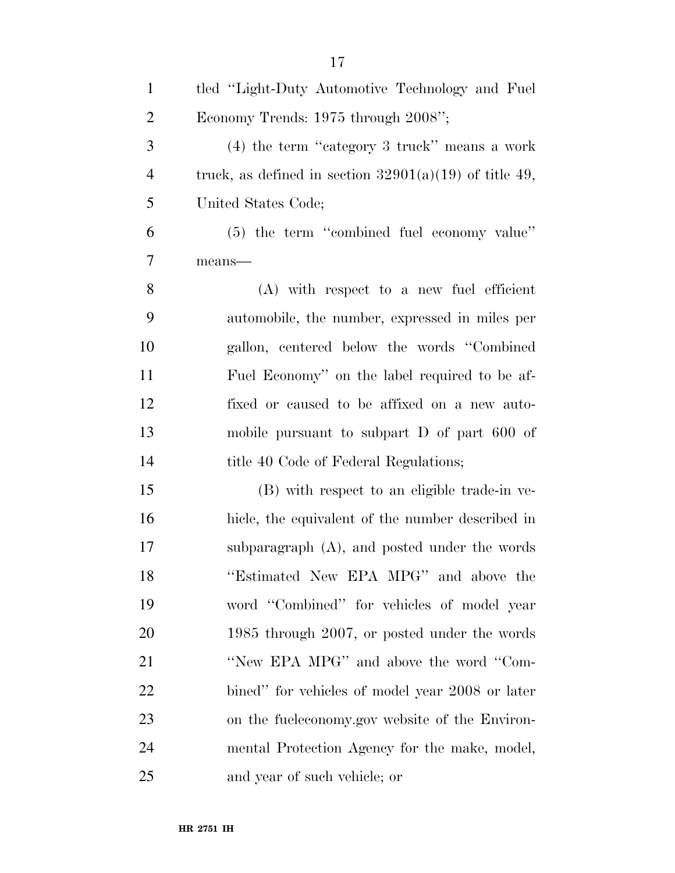| $\mathbf{1}$   | tled "Light-Duty Automotive Technology and Fuel          |
|----------------|----------------------------------------------------------|
| $\overline{2}$ | Economy Trends: 1975 through 2008";                      |
| 3              | $(4)$ the term "category 3 truck" means a work           |
| $\overline{4}$ | truck, as defined in section $32901(a)(19)$ of title 49, |
| 5              | United States Code;                                      |
| 6              | (5) the term "combined fuel economy value"               |
| $\overline{7}$ | means-                                                   |
| 8              | $(A)$ with respect to a new fuel efficient               |
| 9              | automobile, the number, expressed in miles per           |
| 10             | gallon, centered below the words "Combined"              |
| 11             | Fuel Economy" on the label required to be af-            |
| 12             | fixed or caused to be affixed on a new auto-             |
| 13             | mobile pursuant to subpart $D$ of part 600 of            |
| 14             | title 40 Code of Federal Regulations;                    |
| 15             | (B) with respect to an eligible trade-in ve-             |
| 16             | hicle, the equivalent of the number described in         |
| 17             | subparagraph (A), and posted under the words             |
| 18             | "Estimated New EPA MPG" and above the                    |
| 19             | word "Combined" for vehicles of model year               |
| 20             | 1985 through 2007, or posted under the words             |
| 21             | "New EPA MPG" and above the word "Com-                   |
| 22             | bined" for vehicles of model year 2008 or later          |
| 23             | on the fueleconomy.gov website of the Environ-           |
| 24             | mental Protection Agency for the make, model,            |
| 25             | and year of such vehicle; or                             |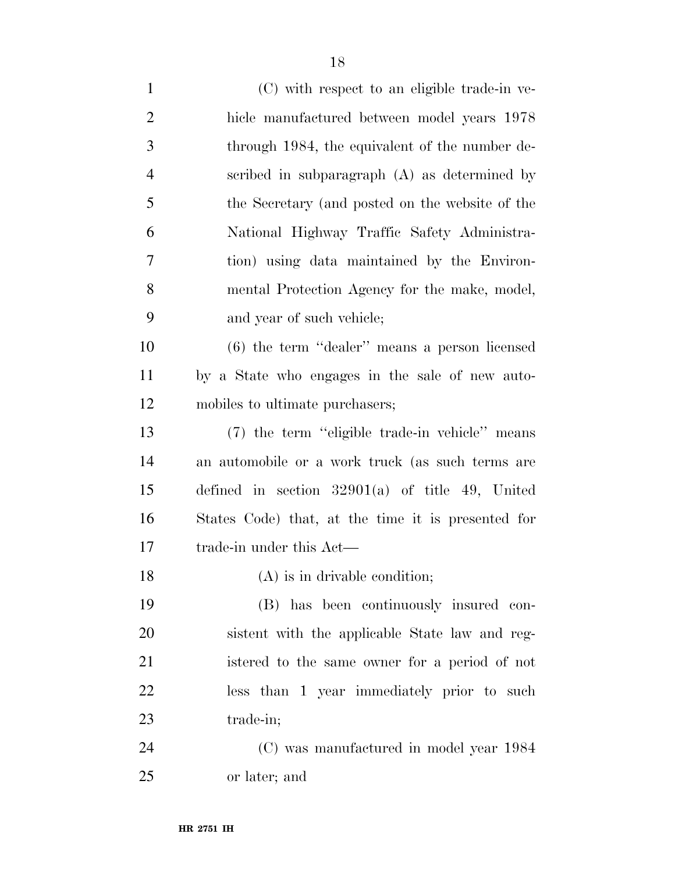| $\mathbf{1}$   | (C) with respect to an eligible trade-in ve-       |
|----------------|----------------------------------------------------|
| $\overline{2}$ | hicle manufactured between model years 1978        |
| 3              | through 1984, the equivalent of the number de-     |
| $\overline{4}$ | scribed in subparagraph $(A)$ as determined by     |
| 5              | the Secretary (and posted on the website of the    |
| 6              | National Highway Traffic Safety Administra-        |
| 7              | tion) using data maintained by the Environ-        |
| 8              | mental Protection Agency for the make, model,      |
| 9              | and year of such vehicle;                          |
| 10             | $(6)$ the term "dealer" means a person licensed    |
| 11             | by a State who engages in the sale of new auto-    |
| 12             | mobiles to ultimate purchasers;                    |
| 13             | (7) the term "eligible trade-in vehicle" means     |
| 14             | an automobile or a work truck (as such terms are   |
| 15             | defined in section $32901(a)$ of title 49, United  |
| 16             | States Code) that, at the time it is presented for |
| 17             | trade-in under this Act—                           |
| 18             | (A) is in drivable condition;                      |
| 19             | (B) has been continuously insured con-             |
| 20             | sistent with the applicable State law and reg-     |
| 21             | istered to the same owner for a period of not      |
| 22             | less than 1 year immediately prior to such         |
| 23             | trade-in;                                          |
| 24             | (C) was manufactured in model year 1984            |
| 25             | or later; and                                      |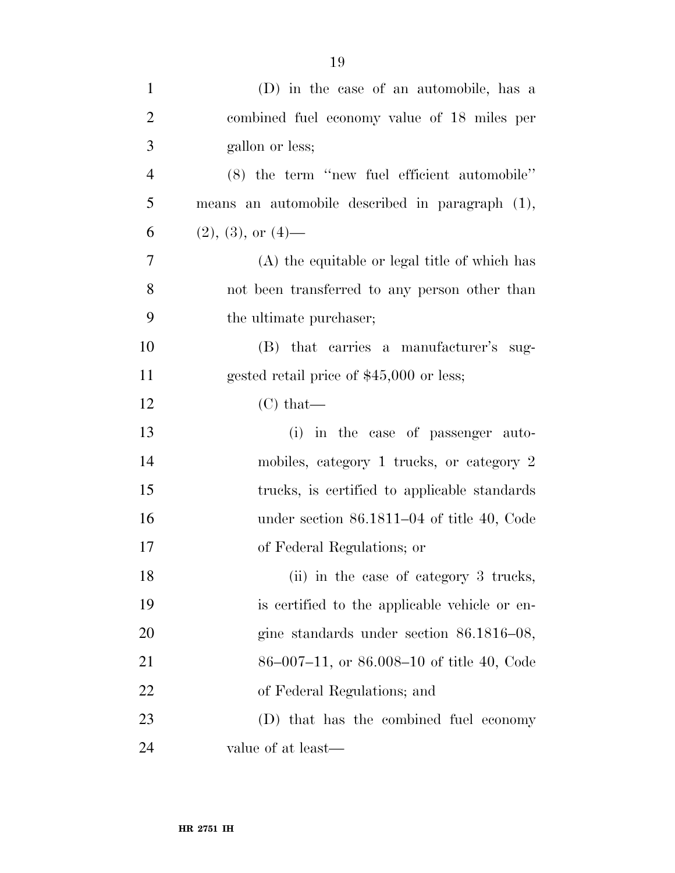| $\mathbf{1}$   | (D) in the case of an automobile, has a         |
|----------------|-------------------------------------------------|
| $\overline{2}$ | combined fuel economy value of 18 miles per     |
| 3              | gallon or less;                                 |
| $\overline{4}$ | (8) the term "new fuel efficient automobile"    |
| 5              | means an automobile described in paragraph (1), |
| 6              | $(2), (3),$ or $(4)$ —                          |
| $\overline{7}$ | (A) the equitable or legal title of which has   |
| 8              | not been transferred to any person other than   |
| 9              | the ultimate purchaser;                         |
| 10             | (B) that carries a manufacturer's sug-          |
| 11             | gested retail price of \$45,000 or less;        |
| 12             | $(C)$ that—                                     |
| 13             | (i) in the case of passenger auto-              |
| 14             | mobiles, category 1 trucks, or category 2       |
| 15             | trucks, is certified to applicable standards    |
| 16             | under section $86.1811-04$ of title 40, Code    |
| 17             | of Federal Regulations; or                      |
| 18             | (ii) in the case of category 3 trucks,          |
| 19             | is certified to the applicable vehicle or en-   |
| 20             | gine standards under section $86.1816 - 08$ ,   |
| 21             | $86-007-11$ , or $86.008-10$ of title 40, Code  |
| 22             | of Federal Regulations; and                     |
| 23             | (D) that has the combined fuel economy          |
| 24             | value of at least—                              |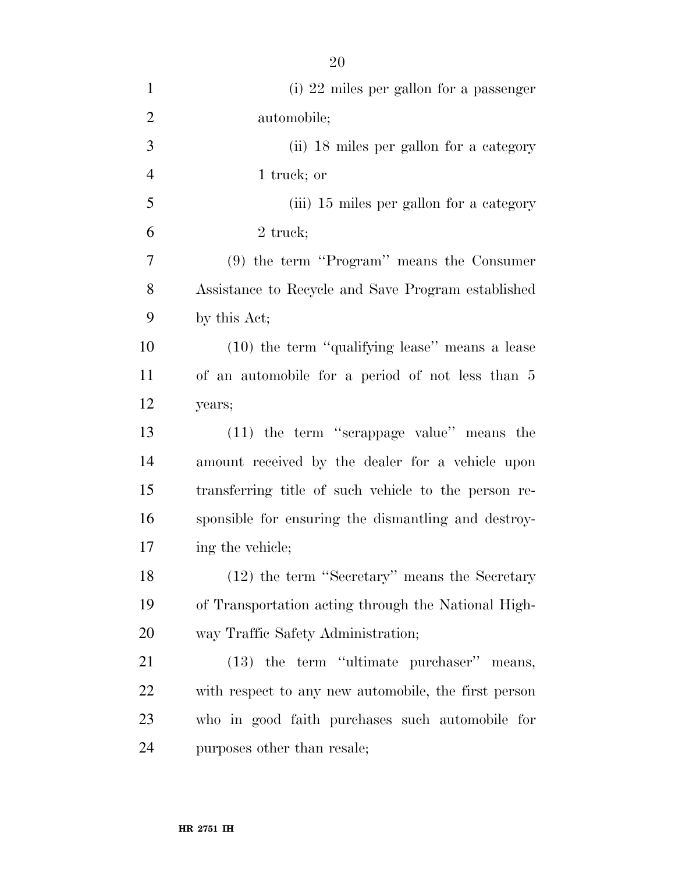| $\mathbf{1}$   | (i) 22 miles per gallon for a passenger              |
|----------------|------------------------------------------------------|
| $\overline{2}$ | automobile;                                          |
| 3              | (ii) 18 miles per gallon for a category              |
| $\overline{4}$ | 1 truck; or                                          |
| 5              | (iii) 15 miles per gallon for a category             |
| 6              | 2 truck;                                             |
| 7              | $(9)$ the term "Program" means the Consumer          |
| 8              | Assistance to Recycle and Save Program established   |
| 9              | by this Act;                                         |
| 10             | (10) the term "qualifying lease" means a lease       |
| 11             | of an automobile for a period of not less than 5     |
| 12             | years;                                               |
| 13             | (11) the term "scrappage value" means the            |
| 14             | amount received by the dealer for a vehicle upon     |
| 15             | transferring title of such vehicle to the person re- |
| 16             | sponsible for ensuring the dismantling and destroy-  |
| 17             | ing the vehicle;                                     |
| 18             | (12) the term "Secretary" means the Secretary        |
| 19             | of Transportation acting through the National High-  |
| 20             | way Traffic Safety Administration;                   |
| 21             | (13) the term "ultimate purchaser" means,            |
| 22             | with respect to any new automobile, the first person |
| 23             | who in good faith purchases such automobile for      |
| 24             |                                                      |